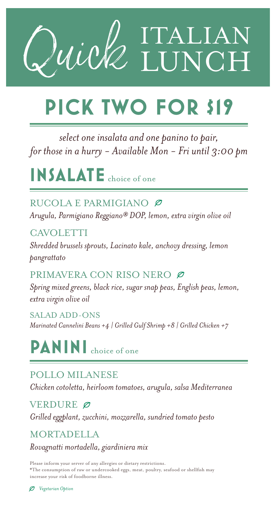

## **PICK TWO FOR \$19**

*select one insalata and one panino to pair, for those in a hurry - Available Mon - Fri until 3:00 pm*

**INSALATE** choice of one

RUCOLA E PARMIGIANO Ø

*Arugula, Parmigiano Reggiano® DOP, lemon, extra virgin olive oil*

CAVOLETTI *Shredded brussels sprouts, Lacinato kale, anchovy dressing, lemon pangrattato*

PRIMAVERA CON RISO NERO Ø

*Spring mixed greens, black rice, sugar snap peas, English peas, lemon, extra virgin olive oil*

SALAD ADD-ONS *Marinated Cannelini Beans +4 | Grilled Gulf Shrimp +8 | Grilled Chicken +7*

**PANINI** choice of one

POLLO MILANESE

*Chicken cotoletta, heirloom tomatoes, arugula, salsa Mediterranea*

VERDURE Ø

*Grilled eggplant, zucchini, mozzarella, sundried tomato pesto* 

**MORTADELLA** 

*Rovagnatti mortadella, giardiniera mix*

Please inform your server of any allergies or dietary restrictions. \*The consumption of raw or undercooked eggs, meat, poultry, seafood or shellfish may increase your risk of foodborne illness.